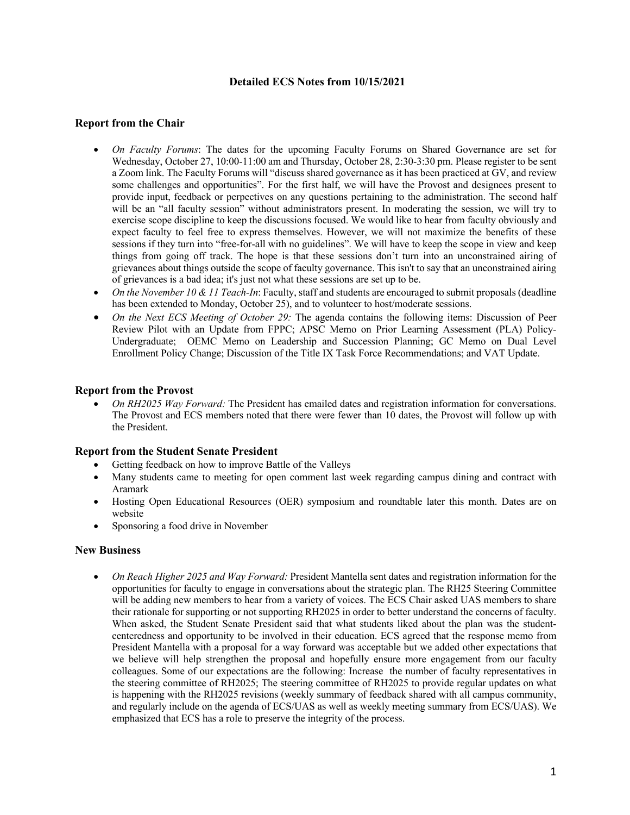# **Detailed ECS Notes from 10/15/2021**

## **Report from the Chair**

- *On Faculty Forums*: The dates for the upcoming Faculty Forums on Shared Governance are set for Wednesday, October 27, 10:00-11:00 am and Thursday, October 28, 2:30-3:30 pm. Please register to be sent a Zoom link. The Faculty Forums will "discuss shared governance as it has been practiced at GV, and review some challenges and opportunities". For the first half, we will have the Provost and designees present to provide input, feedback or perpectives on any questions pertaining to the administration. The second half will be an "all faculty session" without administrators present. In moderating the session, we will try to exercise scope discipline to keep the discussions focused. We would like to hear from faculty obviously and expect faculty to feel free to express themselves. However, we will not maximize the benefits of these sessions if they turn into "free-for-all with no guidelines". We will have to keep the scope in view and keep things from going off track. The hope is that these sessions don't turn into an unconstrained airing of grievances about things outside the scope of faculty governance. This isn't to say that an unconstrained airing of grievances is a bad idea; it's just not what these sessions are set up to be.
- *On the November 10 & 11 Teach-In*: Faculty, staff and students are encouraged to submit proposals (deadline has been extended to Monday, October 25), and to volunteer to host/moderate sessions.
- *On the Next ECS Meeting of October 29:* The agenda contains the following items: Discussion of Peer Review Pilot with an Update from FPPC; APSC Memo on Prior Learning Assessment (PLA) Policy-Undergraduate; OEMC Memo on Leadership and Succession Planning; GC Memo on Dual Level Enrollment Policy Change; Discussion of the Title IX Task Force Recommendations; and VAT Update.

## **Report from the Provost**

• *On RH2025 Way Forward:* The President has emailed dates and registration information for conversations. The Provost and ECS members noted that there were fewer than 10 dates, the Provost will follow up with the President.

#### **Report from the Student Senate President**

- Getting feedback on how to improve Battle of the Valleys
- Many students came to meeting for open comment last week regarding campus dining and contract with Aramark
- Hosting Open Educational Resources (OER) symposium and roundtable later this month. Dates are on website
- Sponsoring a food drive in November

## **New Business**

• *On Reach Higher 2025 and Way Forward:* President Mantella sent dates and registration information for the opportunities for faculty to engage in conversations about the strategic plan. The RH25 Steering Committee will be adding new members to hear from a variety of voices. The ECS Chair asked UAS members to share their rationale for supporting or not supporting RH2025 in order to better understand the concerns of faculty. When asked, the Student Senate President said that what students liked about the plan was the studentcenteredness and opportunity to be involved in their education. ECS agreed that the response memo from President Mantella with a proposal for a way forward was acceptable but we added other expectations that we believe will help strengthen the proposal and hopefully ensure more engagement from our faculty colleagues. Some of our expectations are the following: Increase the number of faculty representatives in the steering committee of RH2025; The steering committee of RH2025 to provide regular updates on what is happening with the RH2025 revisions (weekly summary of feedback shared with all campus community, and regularly include on the agenda of ECS/UAS as well as weekly meeting summary from ECS/UAS). We emphasized that ECS has a role to preserve the integrity of the process.